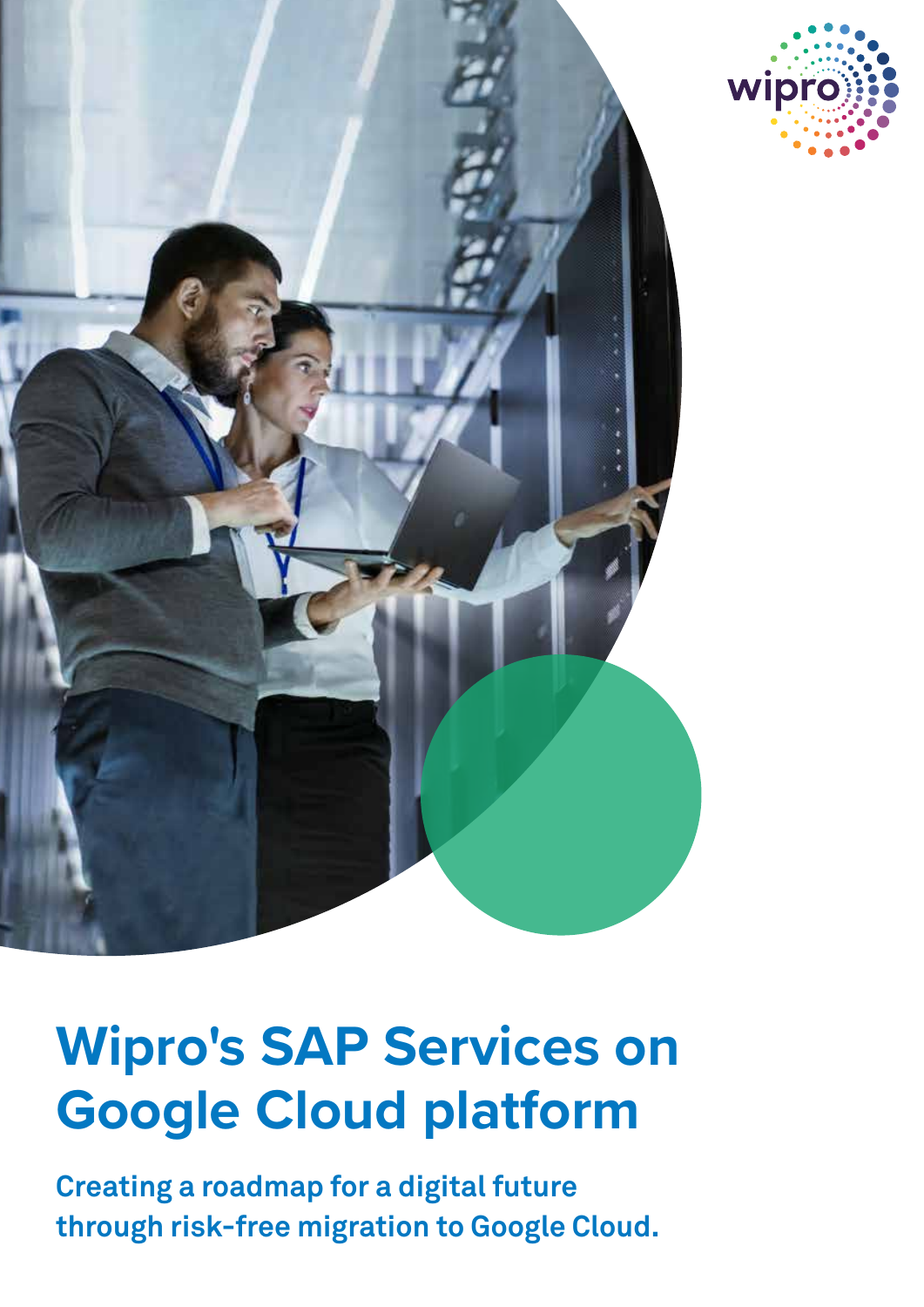



# **Wipro's SAP Services on Google Cloud platform**

**Creating a roadmap for a digital future through risk-free migration to Google Cloud.**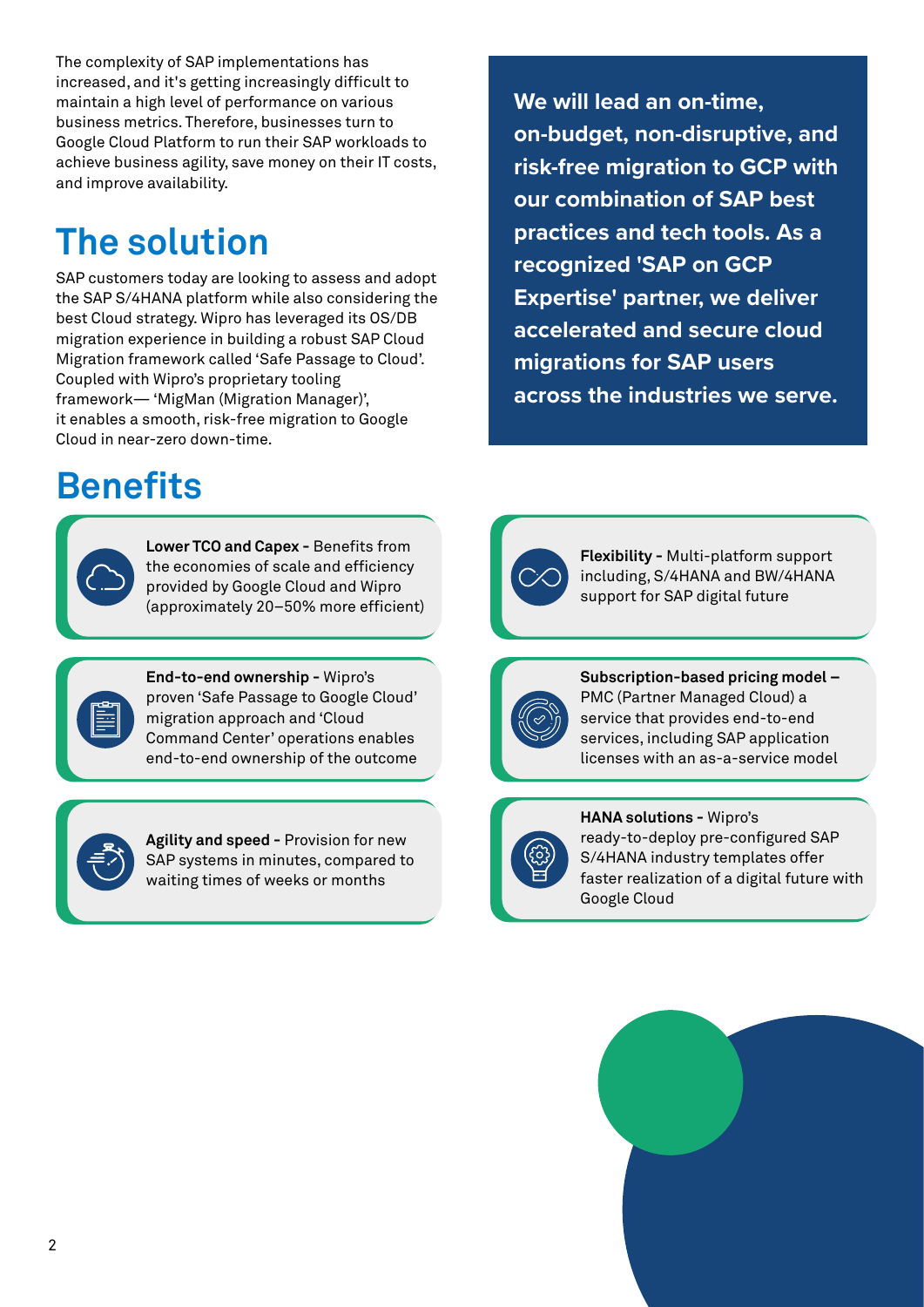The complexity of SAP implementations has increased, and it's getting increasingly difficult to maintain a high level of performance on various business metrics. Therefore, businesses turn to Google Cloud Platform to run their SAP workloads to achieve business agility, save money on their IT costs, and improve availability.

# **The solution**

SAP customers today are looking to assess and adopt the SAP S/4HANA platform while also considering the best Cloud strategy. Wipro has leveraged its OS/DB migration experience in building a robust SAP Cloud Migration framework called 'Safe Passage to Cloud'. Coupled with Wipro's proprietary tooling framework— 'MigMan (Migration Manager)', it enables a smooth, risk-free migration to Google Cloud in near-zero down-time.

### **Benefits**

**Lower TCO and Capex -** Benefits from the economies of scale and efficiency provided by Google Cloud and Wipro (approximately 20–50% more efficient)

**End-to-end ownership -** Wipro's proven 'Safe Passage to Google Cloud' migration approach and 'Cloud Command Center' operations enables end-to-end ownership of the outcome

**Agility and speed -** Provision for new SAP systems in minutes, compared to waiting times of weeks or months

**We will lead an on-time, on-budget, non-disruptive, and risk-free migration to GCP with our combination of SAP best practices and tech tools. As a recognized 'SAP on GCP Expertise' partner, we deliver accelerated and secure cloud migrations for SAP users across the industries we serve.**





**Subscription-based pricing model –** PMC (Partner Managed Cloud) a service that provides end-to-end services, including SAP application licenses with an as-a-service model







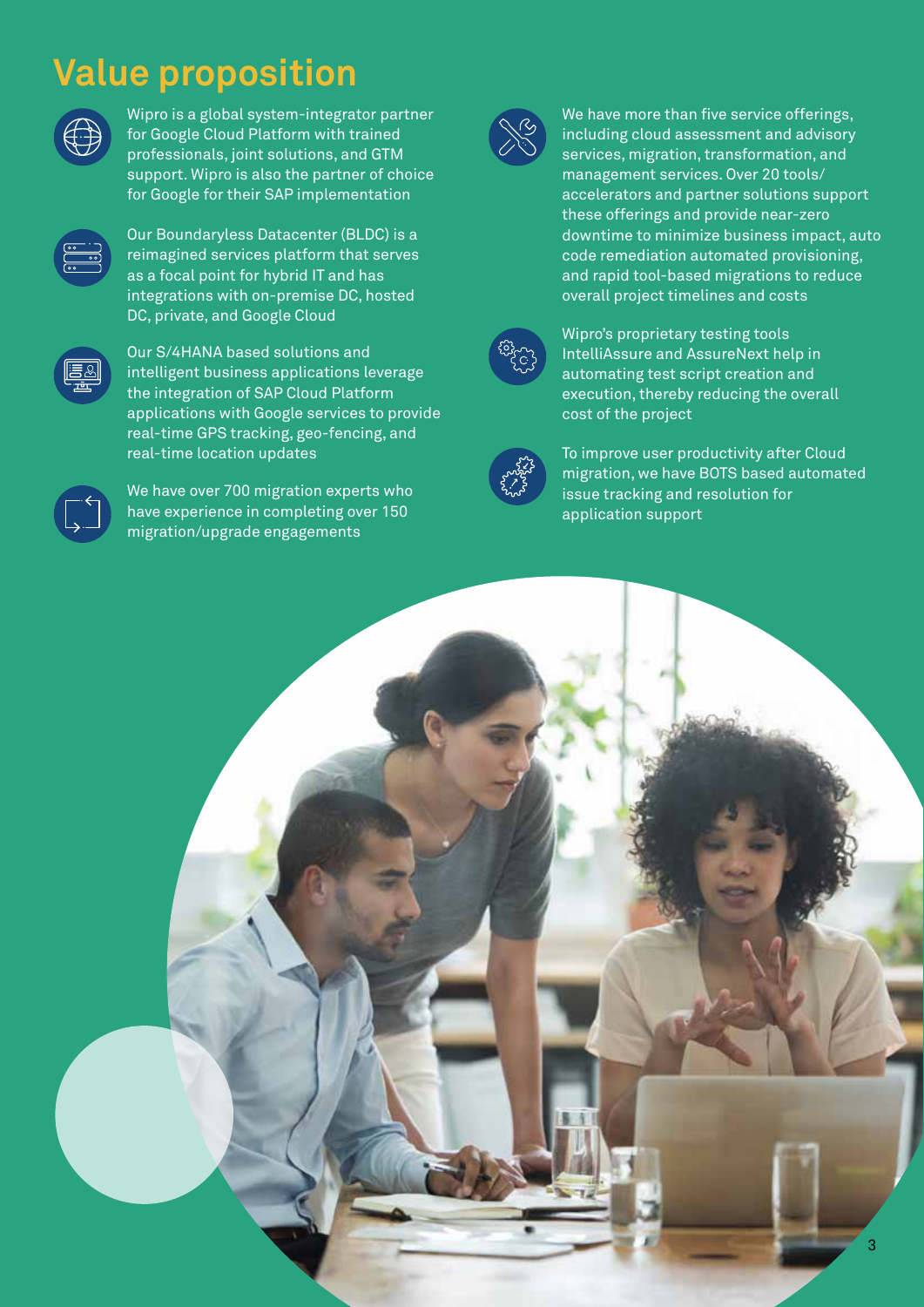### **Value proposition**



Wipro is a global system-integrator partner for Google Cloud Platform with trained professionals, joint solutions, and GTM support. Wipro is also the partner of choice for Google for their SAP implementation



Our Boundaryless Datacenter (BLDC) is a reimagined services platform that serves as a focal point for hybrid IT and has integrations with on-premise DC, hosted DC, private, and Google Cloud



Our S/4HANA based solutions and intelligent business applications leverage the integration of SAP Cloud Platform applications with Google services to provide real-time GPS tracking, geo-fencing, and real-time location updates



We have over 700 migration experts who have experience in completing over 150 migration/upgrade engagements



We have more than five service offerings, including cloud assessment and advisory services, migration, transformation, and management services. Over 20 tools/ accelerators and partner solutions support these offerings and provide near-zero downtime to minimize business impact, auto code remediation automated provisioning, and rapid tool-based migrations to reduce overall project timelines and costs



Wipro's proprietary testing tools IntelliAssure and AssureNext help in automating test script creation and execution, thereby reducing the overall cost of the project



To improve user productivity after Cloud migration, we have BOTS based automated issue tracking and resolution for application support

3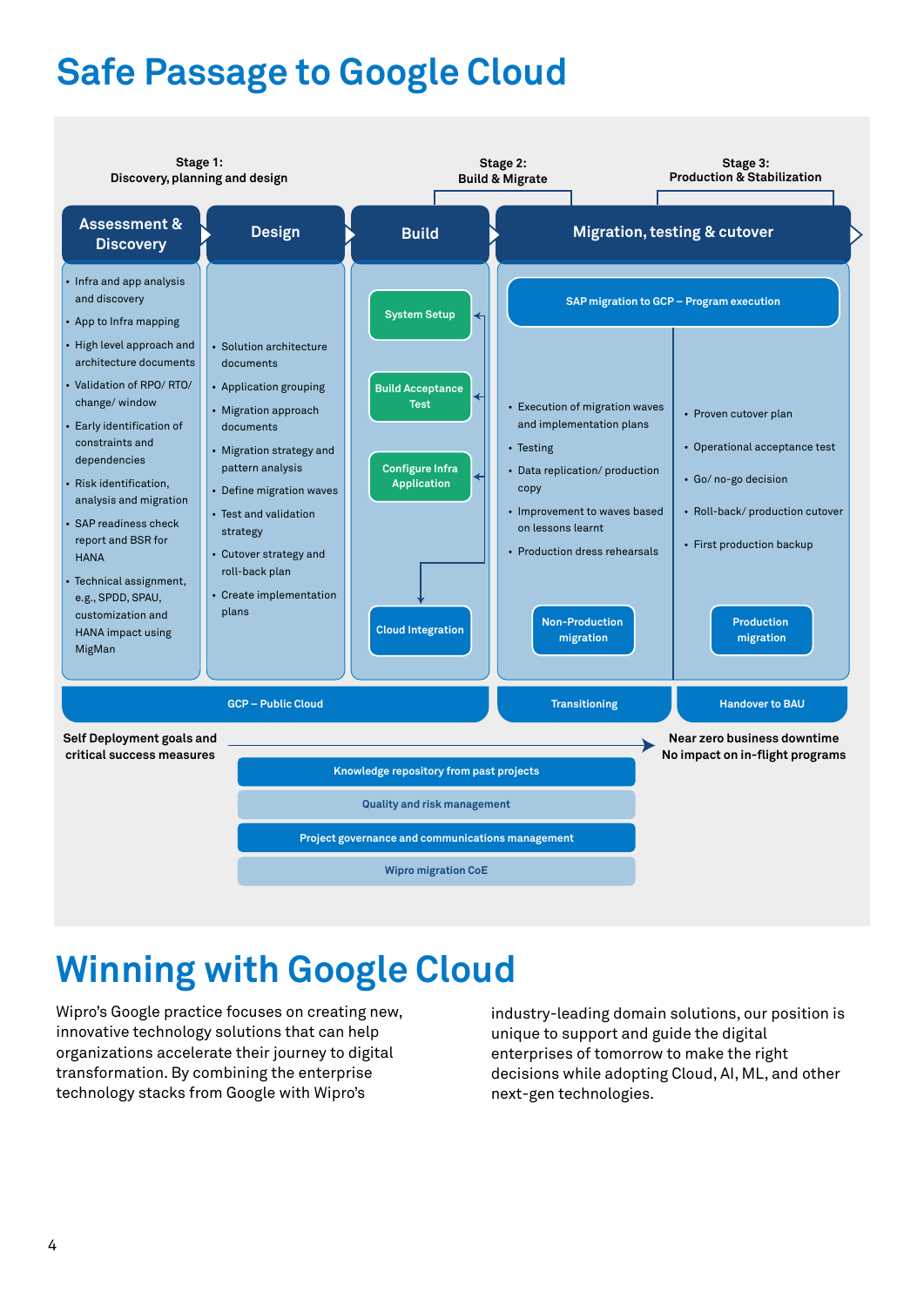## **Safe Passage to Google Cloud**



#### **Winning with Google Cloud**

Wipro's Google practice focuses on creating new, innovative technology solutions that can help organizations accelerate their journey to digital transformation. By combining the enterprise technology stacks from Google with Wipro's

industry-leading domain solutions, our position is unique to support and guide the digital enterprises of tomorrow to make the right decisions while adopting Cloud, AI, ML, and other next-gen technologies.